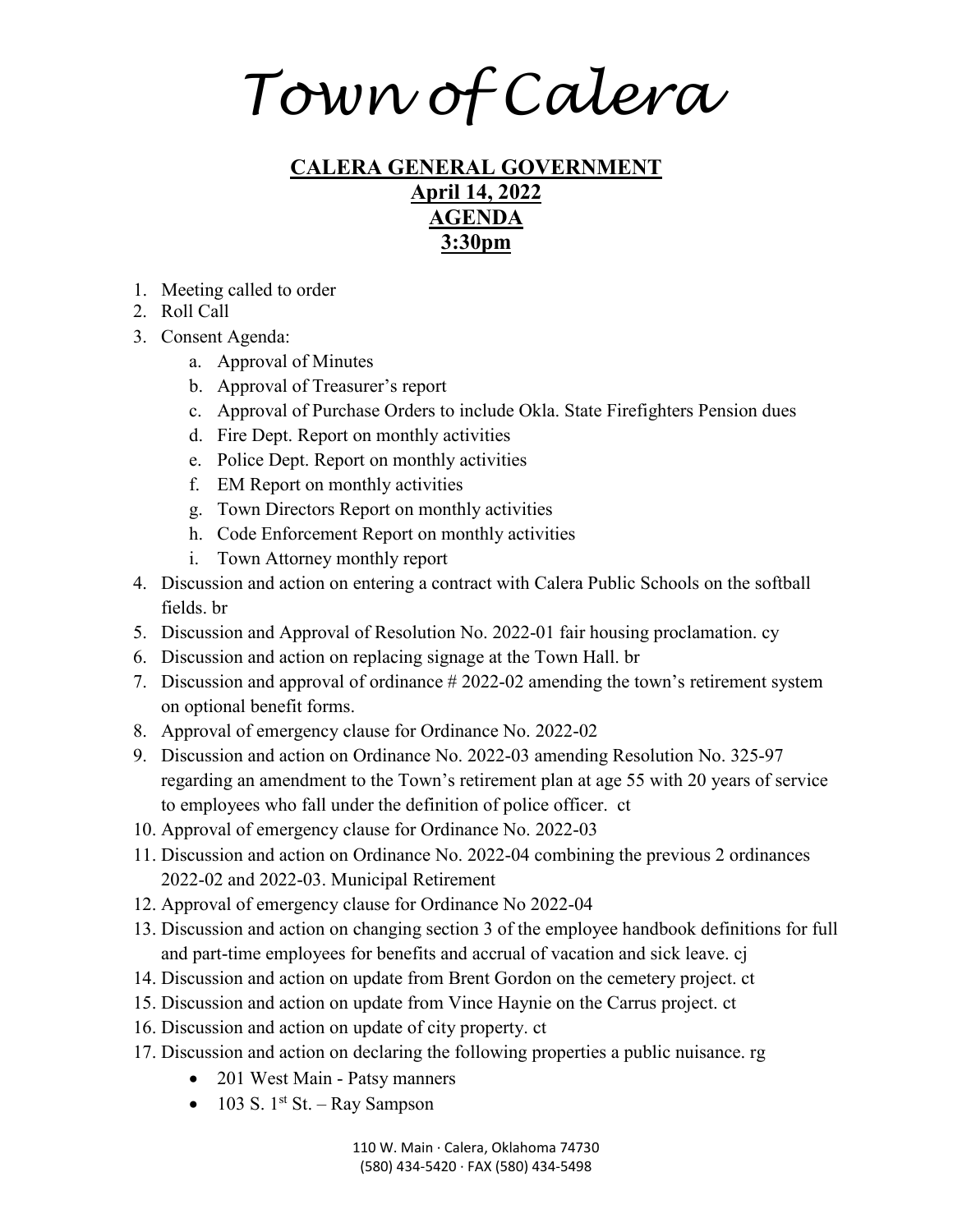*Town of Calera*

## **CALERA GENERAL GOVERNMENT April 14, 2022 AGENDA 3:30pm**

- 1. Meeting called to order
- 2. Roll Call
- 3. Consent Agenda:
	- a. Approval of Minutes
	- b. Approval of Treasurer's report
	- c. Approval of Purchase Orders to include Okla. State Firefighters Pension dues
	- d. Fire Dept. Report on monthly activities
	- e. Police Dept. Report on monthly activities
	- f. EM Report on monthly activities
	- g. Town Directors Report on monthly activities
	- h. Code Enforcement Report on monthly activities
	- i. Town Attorney monthly report
- 4. Discussion and action on entering a contract with Calera Public Schools on the softball fields. br
- 5. Discussion and Approval of Resolution No. 2022-01 fair housing proclamation. cy
- 6. Discussion and action on replacing signage at the Town Hall. br
- 7. Discussion and approval of ordinance # 2022-02 amending the town's retirement system on optional benefit forms.
- 8. Approval of emergency clause for Ordinance No. 2022-02
- 9. Discussion and action on Ordinance No. 2022-03 amending Resolution No. 325-97 regarding an amendment to the Town's retirement plan at age 55 with 20 years of service to employees who fall under the definition of police officer. ct
- 10. Approval of emergency clause for Ordinance No. 2022-03
- 11. Discussion and action on Ordinance No. 2022-04 combining the previous 2 ordinances 2022-02 and 2022-03. Municipal Retirement
- 12. Approval of emergency clause for Ordinance No 2022-04
- 13. Discussion and action on changing section 3 of the employee handbook definitions for full and part-time employees for benefits and accrual of vacation and sick leave. cj
- 14. Discussion and action on update from Brent Gordon on the cemetery project. ct
- 15. Discussion and action on update from Vince Haynie on the Carrus project. ct
- 16. Discussion and action on update of city property. ct
- 17. Discussion and action on declaring the following properties a public nuisance. rg
	- 201 West Main Patsy manners
	- 103 S.  $1^{st}$  St. Ray Sampson